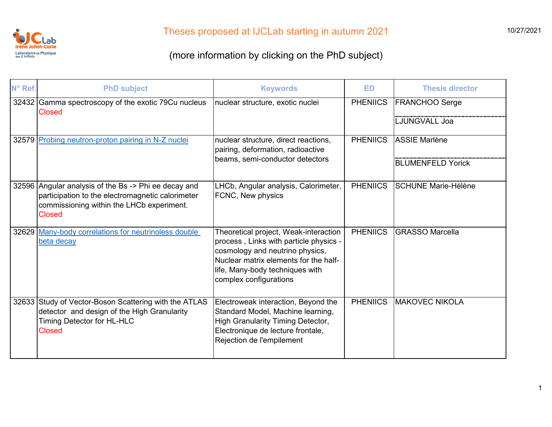

| N° Ref. | <b>PhD subject</b>                                                                                                                                                     | <b>Keywords</b>                                                                                                                                                                                                          | <b>ED</b>            | <b>Thesis director</b>     |
|---------|------------------------------------------------------------------------------------------------------------------------------------------------------------------------|--------------------------------------------------------------------------------------------------------------------------------------------------------------------------------------------------------------------------|----------------------|----------------------------|
|         | 32432 Gamma spectroscopy of the exotic 79Cu nucleus<br><b>Closed</b>                                                                                                   | nuclear structure, exotic nuclei                                                                                                                                                                                         | <b>PHENIICS</b>      | <b>FRANCHOO Serge</b>      |
|         |                                                                                                                                                                        |                                                                                                                                                                                                                          |                      | <b>LJUNGVALL Joa</b>       |
|         | 32579 Probing neutron-proton pairing in N-Z nuclei<br>nuclear structure, direct reactions,<br>pairing, deformation, radioactive                                        | <b>PHENIICS</b>                                                                                                                                                                                                          | <b>ASSIE Marlène</b> |                            |
|         |                                                                                                                                                                        | beams, semi-conductor detectors                                                                                                                                                                                          |                      | <b>BLUMENFELD Yorick</b>   |
|         | 32596 Angular analysis of the Bs -> Phi ee decay and<br>participation to the electromagnetic calorimeter<br>commissioning within the LHCb experiment.<br><b>Closed</b> | LHCb, Angular analysis, Calorimeter,<br>FCNC, New physics                                                                                                                                                                | <b>PHENIICS</b>      | <b>SCHUNE Marie-Hélène</b> |
|         | 32629 Many-body correlations for neutrinoless double<br>beta decay                                                                                                     | Theoretical project, Weak-interaction<br>process, Links with particle physics -<br>cosmology and neutrino physics,<br>Nuclear matrix elements for the half-<br>life, Many-body techniques with<br>complex configurations | <b>PHENIICS</b>      | <b>GRASSO Marcella</b>     |
|         | 32633 Study of Vector-Boson Scattering with the ATLAS<br>detector and design of the High Granularity<br>Timing Detector for HL-HLC<br><b>Closed</b>                    | Electroweak interaction, Beyond the<br>Standard Model, Machine learning,<br>High Granularity Timing Detector,<br>Electronique de lecture frontale,<br>Rejection de l'empilement                                          | <b>PHENIICS</b>      | <b>MAKOVEC NIKOLA</b>      |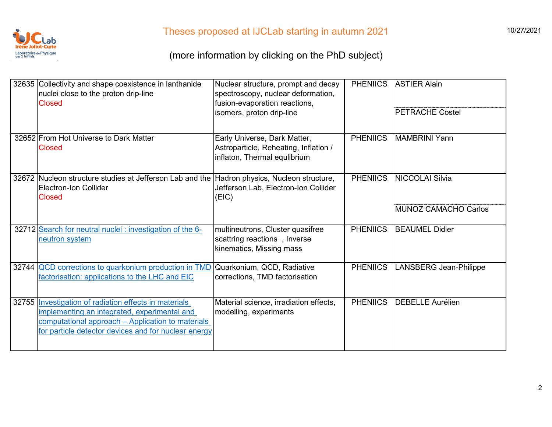

| 32635 Collectivity and shape coexistence in lanthanide<br>nuclei close to the proton drip-line<br><b>Closed</b>                                                                                                    | Nuclear structure, prompt and decay<br>spectroscopy, nuclear deformation,<br>fusion-evaporation reactions,<br>isomers, proton drip-line | <b>PHENIICS</b> | <b>ASTIER Alain</b><br><b>PETRACHE Costel</b> |
|--------------------------------------------------------------------------------------------------------------------------------------------------------------------------------------------------------------------|-----------------------------------------------------------------------------------------------------------------------------------------|-----------------|-----------------------------------------------|
| 32652 From Hot Universe to Dark Matter<br><b>Closed</b>                                                                                                                                                            | Early Universe, Dark Matter,<br>Astroparticle, Reheating, Inflation /<br>inflaton, Thermal equlibrium                                   | <b>PHENIICS</b> | <b>MAMBRINI Yann</b>                          |
| 32672 Nucleon structure studies at Jefferson Lab and the Hadron physics, Nucleon structure,<br>Electron-Ion Collider<br><b>Closed</b>                                                                              | Jefferson Lab, Electron-Ion Collider<br>(EIC)                                                                                           | <b>PHENIICS</b> | <b>NICCOLAI Silvia</b>                        |
|                                                                                                                                                                                                                    |                                                                                                                                         |                 | MUNOZ CAMACHO Carlos                          |
| 32712 Search for neutral nuclei : investigation of the 6-<br>neutron system                                                                                                                                        | multineutrons, Cluster quasifree<br>scattring reactions, Inverse<br>kinematics, Missing mass                                            | <b>PHENIICS</b> | <b>BEAUMEL Didier</b>                         |
| 32744 QCD corrections to quarkonium production in TMD<br>factorisation: applications to the LHC and EIC                                                                                                            | Quarkonium, QCD, Radiative<br>corrections, TMD factorisation                                                                            | <b>PHENIICS</b> | <b>LANSBERG Jean-Philippe</b>                 |
| 32755 Investigation of radiation effects in materials<br>implementing an integrated, experimental and<br>computational approach – Application to materials<br>for particle detector devices and for nuclear energy | Material science, irradiation effects,<br>modelling, experiments                                                                        | <b>PHENIICS</b> | <b>DEBELLE Aurélien</b>                       |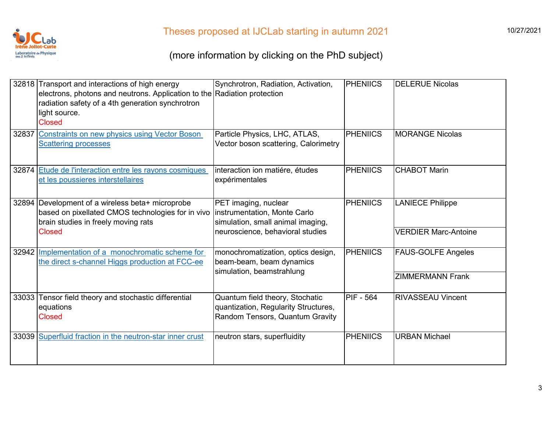

|       | 32818 Transport and interactions of high energy<br>electrons, photons and neutrons. Application to the Radiation protection<br>radiation safety of a 4th generation synchrotron<br>light source.<br><b>Closed</b> | Synchrotron, Radiation, Activation,                                                                                           | <b>PHENIICS</b>  | <b>DELERUE Nicolas</b>                                 |
|-------|-------------------------------------------------------------------------------------------------------------------------------------------------------------------------------------------------------------------|-------------------------------------------------------------------------------------------------------------------------------|------------------|--------------------------------------------------------|
|       | 32837 Constraints on new physics using Vector Boson<br><b>Scattering processes</b>                                                                                                                                | Particle Physics, LHC, ATLAS,<br>Vector boson scattering, Calorimetry                                                         | <b>PHENIICS</b>  | <b>MORANGE Nicolas</b>                                 |
|       | 32874 Etude de l'interaction entre les rayons cosmiques<br>et les poussieres interstellaires                                                                                                                      | interaction ion matiére, études<br>expérimentales                                                                             | <b>PHENIICS</b>  | <b>CHABOT Marin</b>                                    |
|       | 32894 Development of a wireless beta+ microprobe<br>based on pixellated CMOS technologies for in vivo<br>brain studies in freely moving rats<br><b>Closed</b>                                                     | PET imaging, nuclear<br>instrumentation, Monte Carlo<br>simulation, small animal imaging,<br>neuroscience, behavioral studies | <b>PHENIICS</b>  | <b>LANIECE Philippe</b><br><b>VERDIER Marc-Antoine</b> |
|       | 32942 Implementation of a monochromatic scheme for<br>the direct s-channel Higgs production at FCC-ee                                                                                                             | monochromatization, optics design,<br>beam-beam, beam dynamics<br>simulation, beamstrahlung                                   | <b>PHENIICS</b>  | <b>FAUS-GOLFE Angeles</b><br><b>ZIMMERMANN Frank</b>   |
| 33033 | Tensor field theory and stochastic differential<br>equations<br><b>Closed</b>                                                                                                                                     | Quantum field theory, Stochatic<br>quantization, Regularity Structures,<br>Random Tensors, Quantum Gravity                    | <b>PIF - 564</b> | <b>RIVASSEAU Vincent</b>                               |
|       | 33039 Superfluid fraction in the neutron-star inner crust                                                                                                                                                         | neutron stars, superfluidity                                                                                                  | <b>PHENIICS</b>  | <b>URBAN Michael</b>                                   |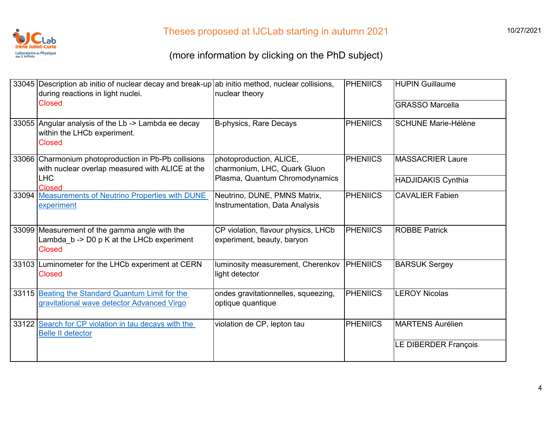

| 33045 Description ab initio of nuclear decay and break-up ab initio method, nuclear collisions,<br>during reactions in light nuclei. | nuclear theory                                                    | <b>PHENIICS</b> | <b>HUPIN Guillaume</b>     |
|--------------------------------------------------------------------------------------------------------------------------------------|-------------------------------------------------------------------|-----------------|----------------------------|
| <b>Closed</b>                                                                                                                        |                                                                   |                 | <b>GRASSO Marcella</b>     |
| 33055 Angular analysis of the Lb -> Lambda ee decay<br>within the LHCb experiment.<br><b>Closed</b>                                  | B-physics, Rare Decays                                            | <b>PHENIICS</b> | <b>SCHUNE Marie-Hélène</b> |
| 33066 Charmonium photoproduction in Pb-Pb collisions<br>with nuclear overlap measured with ALICE at the                              | photoproduction, ALICE,<br>charmonium, LHC, Quark Gluon           | <b>PHENIICS</b> | <b>MASSACRIER Laure</b>    |
| <b>LHC</b><br><b>Closed</b>                                                                                                          | Plasma, Quantum Chromodynamics                                    |                 | <b>HADJIDAKIS Cynthia</b>  |
| 33094 Measurements of Neutrino Properties with DUNE<br>experiment                                                                    | Neutrino, DUNE, PMNS Matrix,<br>Instrumentation, Data Analysis    | <b>PHENIICS</b> | <b>CAVALIER Fabien</b>     |
| 33099 Measurement of the gamma angle with the<br>Lambda b -> D0 p K at the LHCb experiment<br><b>Closed</b>                          | CP violation, flavour physics, LHCb<br>experiment, beauty, baryon | <b>PHENIICS</b> | <b>ROBBE Patrick</b>       |
| 33103 Luminometer for the LHCb experiment at CERN<br><b>Closed</b>                                                                   | luminosity measurement, Cherenkov<br>light detector               | PHENIICS        | <b>BARSUK Sergey</b>       |
| 33115 Beating the Standard Quantum Limit for the<br>gravitational wave detector Advanced Virgo                                       | ondes gravitationnelles, squeezing,<br>optique quantique          | <b>PHENIICS</b> | <b>LEROY Nicolas</b>       |
| 33122 Search for CP violation in tau decays with the<br><b>Belle II detector</b>                                                     | violation de CP, lepton tau                                       | <b>PHENIICS</b> | <b>MARTENS Aurélien</b>    |
|                                                                                                                                      |                                                                   |                 | LE DIBERDER François       |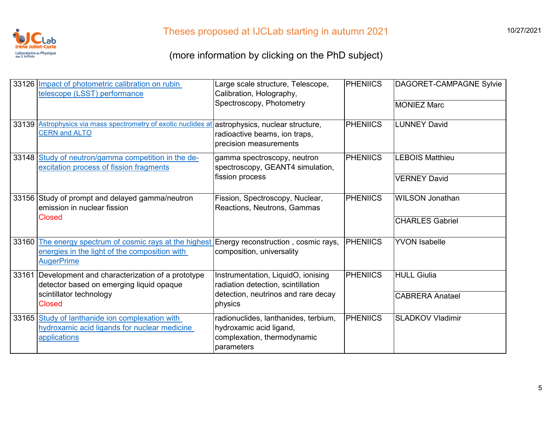

|       | 33126 Impact of photometric calibration on rubin<br>telescope (LSST) performance                                                                            | Large scale structure, Telescope,<br>Calibration, Holography,                                                | <b>PHENIICS</b> | DAGORET-CAMPAGNE Sylvie |
|-------|-------------------------------------------------------------------------------------------------------------------------------------------------------------|--------------------------------------------------------------------------------------------------------------|-----------------|-------------------------|
|       |                                                                                                                                                             | Spectroscopy, Photometry                                                                                     |                 | <b>MONIEZ Marc</b>      |
|       | 33139 Astrophysics via mass spectrometry of exotic nuclides at<br><b>CERN and ALTO</b>                                                                      | astrophysics, nuclear structure,<br>radioactive beams, ion traps,<br>precision measurements                  | <b>PHENIICS</b> | <b>LUNNEY David</b>     |
|       | 33148 Study of neutron/gamma competition in the de-<br>excitation process of fission fragments                                                              | gamma spectroscopy, neutron<br>spectroscopy, GEANT4 simulation,                                              | <b>PHENIICS</b> | <b>LEBOIS Matthieu</b>  |
|       |                                                                                                                                                             | fission process                                                                                              |                 | <b>VERNEY David</b>     |
|       | 33156 Study of prompt and delayed gamma/neutron<br>emission in nuclear fission                                                                              | Fission, Spectroscopy, Nuclear,<br>Reactions, Neutrons, Gammas                                               | <b>PHENIICS</b> | <b>WILSON Jonathan</b>  |
|       | <b>Closed</b>                                                                                                                                               |                                                                                                              |                 | <b>CHARLES Gabriel</b>  |
| 33160 | The energy spectrum of cosmic rays at the highest Energy reconstruction, cosmic rays,<br>energies in the light of the composition with<br><b>AugerPrime</b> | composition, universality                                                                                    | <b>PHENIICS</b> | <b>YVON Isabelle</b>    |
|       | 33161 Development and characterization of a prototype<br>detector based on emerging liquid opaque                                                           | Instrumentation, LiquidO, ionising<br>radiation detection, scintillation                                     | <b>PHENIICS</b> | <b>HULL Giulia</b>      |
|       | scintillator technology<br><b>Closed</b>                                                                                                                    | detection, neutrinos and rare decay<br>physics                                                               |                 | <b>CABRERA Anatael</b>  |
|       | 33165 Study of lanthanide ion complexation with<br>hydroxamic acid ligands for nuclear medicine<br>applications                                             | radionuclides, lanthanides, terbium,<br>hydroxamic acid ligand,<br>complexation, thermodynamic<br>parameters | <b>PHENIICS</b> | <b>SLADKOV Vladimir</b> |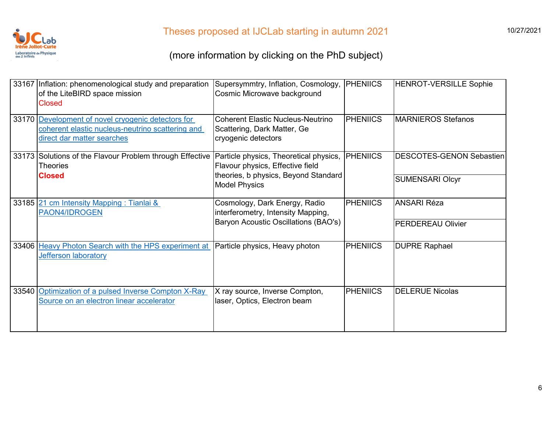

| 33167 Inflation: phenomenological study and preparation<br>of the LiteBIRD space mission<br><b>Closed</b>                            | Supersymmtry, Inflation, Cosmology,<br>Cosmic Microwave background                                                 | <b>PHENIICS</b> | <b>HENROT-VERSILLE Sophie</b>   |
|--------------------------------------------------------------------------------------------------------------------------------------|--------------------------------------------------------------------------------------------------------------------|-----------------|---------------------------------|
| 33170 Development of novel cryogenic detectors for<br>coherent elastic nucleus-neutrino scattering and<br>direct dar matter searches | <b>Coherent Elastic Nucleus-Neutrino</b><br>Scattering, Dark Matter, Ge<br>cryogenic detectors                     | <b>PHENIICS</b> | <b>MARNIEROS Stefanos</b>       |
| 33173 Solutions of the Flavour Problem through Effective<br><b>Theories</b><br><b>Closed</b>                                         | Particle physics, Theoretical physics,<br>Flavour physics, Effective field<br>theories, b physics, Beyond Standard | <b>PHENIICS</b> | <b>DESCOTES-GENON Sebastien</b> |
|                                                                                                                                      | <b>Model Physics</b>                                                                                               |                 | <b>SUMENSARI Olcyr</b>          |
| 33185 21 cm Intensity Mapping: Tianlai &<br>PAON4/IDROGEN                                                                            | Cosmology, Dark Energy, Radio<br>interferometry, Intensity Mapping,                                                | <b>PHENIICS</b> | <b>ANSARI Réza</b>              |
| Baryon Acoustic Oscillations (BAO's)                                                                                                 |                                                                                                                    |                 | <b>PERDEREAU Olivier</b>        |
| 33406 Heavy Photon Search with the HPS experiment at<br><b>Jefferson laboratory</b>                                                  | Particle physics, Heavy photon                                                                                     | <b>PHENIICS</b> | <b>DUPRE Raphael</b>            |
| 33540 Optimization of a pulsed Inverse Compton X-Ray<br>Source on an electron linear accelerator                                     | X ray source, Inverse Compton,<br>laser, Optics, Electron beam                                                     | <b>PHENIICS</b> | <b>DELERUE Nicolas</b>          |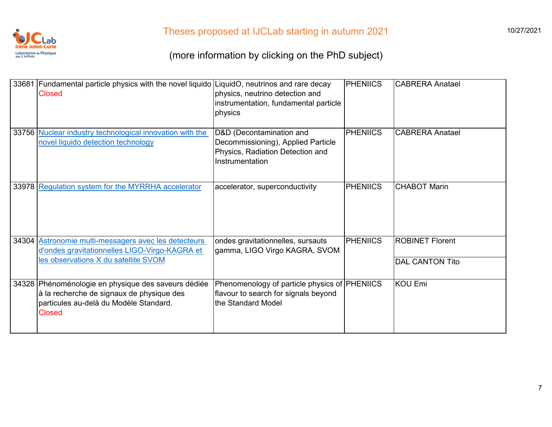

| 33681 Fundamental particle physics with the novel liquido LiquidO, neutrinos and rare decay<br><b>Closed</b>                                                | physics, neutrino detection and<br>instrumentation, fundamental particle<br>physics                                   | PHENIICS        | <b>CABRERA Anatael</b> |
|-------------------------------------------------------------------------------------------------------------------------------------------------------------|-----------------------------------------------------------------------------------------------------------------------|-----------------|------------------------|
| 33756 Nuclear industry technological innovation with the<br>novel liquido detection technology                                                              | D&D (Decontamination and<br>Decommissioning), Applied Particle<br>Physics, Radiation Detection and<br>Instrumentation | <b>PHENIICS</b> | <b>CABRERA Anatael</b> |
| 33978 Regulation system for the MYRRHA accelerator                                                                                                          | accelerator, superconductivity                                                                                        | PHENIICS        | <b>CHABOT Marin</b>    |
| 34304 Astronomie multi-messagers avec les detecteurs<br>d'ondes gravitationnelles LIGO-Virgo-KAGRA et                                                       | ondes gravitationnelles, sursauts<br>gamma, LIGO Virgo KAGRA, SVOM                                                    | <b>PHENIICS</b> | <b>ROBINET Florent</b> |
| les observations X du satellite SVOM                                                                                                                        |                                                                                                                       |                 | <b>DAL CANTON Tito</b> |
| 34328 Phénoménologie en physique des saveurs dédiée<br>à la recherche de signaux de physique des<br>particules au-delà du Modèle Standard.<br><b>Closed</b> | Phenomenology of particle physics of PHENIICS<br>flavour to search for signals beyond<br>the Standard Model           |                 | <b>KOU Emi</b>         |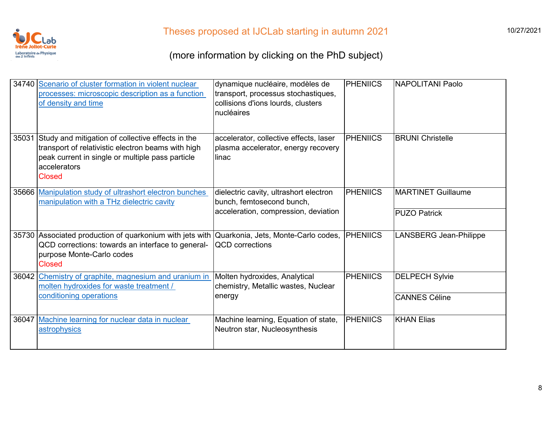

| 34740 Scenario of cluster formation in violent nuclear<br>processes: microscopic description as a function<br>of density and time                                                                  | dynamique nucléaire, modèles de<br>transport, processus stochastiques,<br>collisions d'ions lourds, clusters<br>nucléaires | PHENIICS        | <b>NAPOLITANI Paolo</b>   |
|----------------------------------------------------------------------------------------------------------------------------------------------------------------------------------------------------|----------------------------------------------------------------------------------------------------------------------------|-----------------|---------------------------|
| 35031 Study and mitigation of collective effects in the<br>transport of relativistic electron beams with high<br>peak current in single or multiple pass particle<br>accelerators<br><b>Closed</b> | accelerator, collective effects, laser<br>plasma accelerator, energy recovery<br>linac                                     | <b>PHENIICS</b> | <b>BRUNI Christelle</b>   |
| 35666 Manipulation study of ultrashort electron bunches<br>manipulation with a THz dielectric cavity                                                                                               | dielectric cavity, ultrashort electron<br>bunch, femtosecond bunch,                                                        | <b>PHENIICS</b> | <b>MARTINET Guillaume</b> |
|                                                                                                                                                                                                    | acceleration, compression, deviation                                                                                       |                 | <b>PUZO Patrick</b>       |
| 35730 Associated production of quarkonium with jets with Quarkonia, Jets, Monte-Carlo codes,<br>QCD corrections: towards an interface to general-<br>purpose Monte-Carlo codes<br><b>Closed</b>    | <b>QCD</b> corrections                                                                                                     | <b>PHENIICS</b> | LANSBERG Jean-Philippe    |
| 36042 Chemistry of graphite, magnesium and uranium in<br>molten hydroxides for waste treatment /                                                                                                   | Molten hydroxides, Analytical<br>chemistry, Metallic wastes, Nuclear                                                       | <b>PHENIICS</b> | <b>DELPECH Sylvie</b>     |
| conditioning operations                                                                                                                                                                            | energy                                                                                                                     |                 | <b>CANNES Céline</b>      |
| 36047 Machine learning for nuclear data in nuclear<br>astrophysics                                                                                                                                 | Machine learning, Equation of state,<br>Neutron star, Nucleosynthesis                                                      | <b>PHENIICS</b> | <b>KHAN Elias</b>         |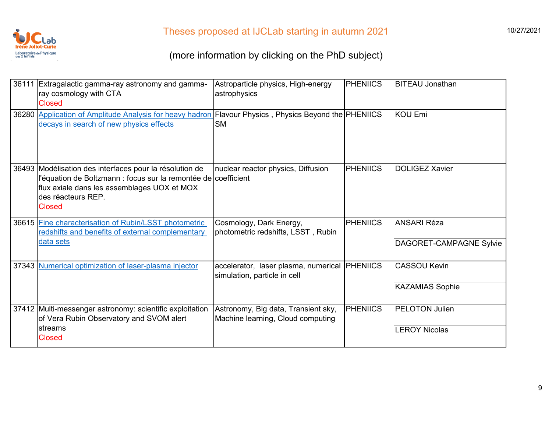

| 36111 Extragalactic gamma-ray astronomy and gamma-<br>ray cosmology with CTA<br><b>Closed</b>                                                                                                            | Astroparticle physics, High-energy<br>astrophysics                       | <b>PHENIICS</b> | <b>BITEAU Jonathan</b>                        |
|----------------------------------------------------------------------------------------------------------------------------------------------------------------------------------------------------------|--------------------------------------------------------------------------|-----------------|-----------------------------------------------|
| 36280 Application of Amplitude Analysis for heavy hadron Flavour Physics, Physics Beyond the PHENIICS<br>decays in search of new physics effects                                                         | <b>SM</b>                                                                |                 | <b>KOU Emi</b>                                |
| 36493 Modélisation des interfaces pour la résolution de<br>l'équation de Boltzmann : focus sur la remontée de coefficient<br>flux axiale dans les assemblages UOX et MOX<br>des réacteurs REP.<br>Closed | nuclear reactor physics, Diffusion                                       | <b>PHENIICS</b> | <b>DOLIGEZ Xavier</b>                         |
| 36615 Fine characterisation of Rubin/LSST photometric<br>redshifts and benefits of external complementary<br>data sets                                                                                   | Cosmology, Dark Energy,<br>photometric redshifts, LSST, Rubin            | <b>PHENIICS</b> | <b>ANSARI Réza</b><br>DAGORET-CAMPAGNE Sylvie |
|                                                                                                                                                                                                          |                                                                          |                 |                                               |
| 37343 Numerical optimization of laser-plasma injector                                                                                                                                                    | accelerator, laser plasma, numerical<br>simulation, particle in cell     | <b>PHENIICS</b> | <b>CASSOU Kevin</b>                           |
|                                                                                                                                                                                                          |                                                                          |                 | <b>KAZAMIAS Sophie</b>                        |
| 37412 Multi-messenger astronomy: scientific exploitation<br>of Vera Rubin Observatory and SVOM alert                                                                                                     | Astronomy, Big data, Transient sky,<br>Machine learning, Cloud computing | <b>PHENIICS</b> | <b>PELOTON Julien</b>                         |
| streams<br><b>Closed</b>                                                                                                                                                                                 |                                                                          |                 | <b>LEROY Nicolas</b>                          |